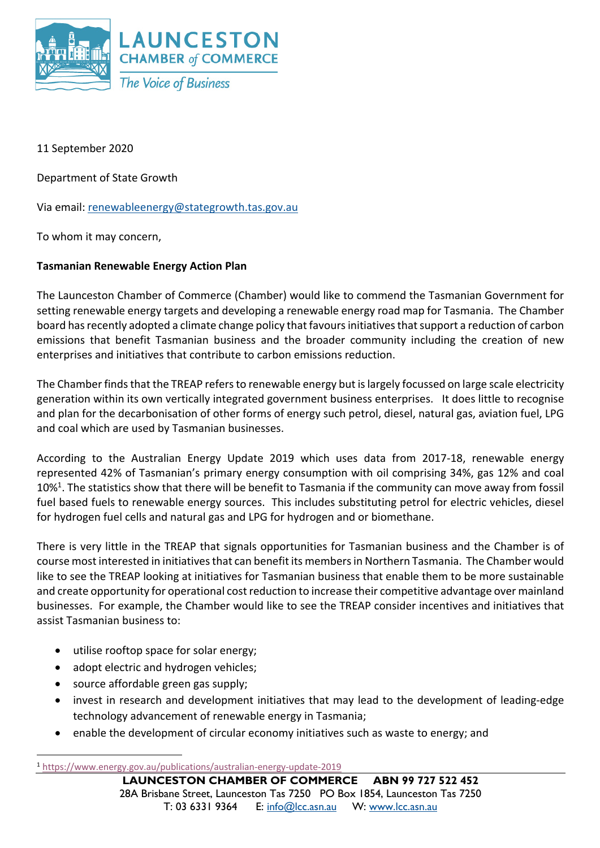

11 September 2020

Department of State Growth

Via email: renewableenergy@stategrowth.tas.gov.au

To whom it may concern,

## **Tasmanian Renewable Energy Action Plan**

The Launceston Chamber of Commerce (Chamber) would like to commend the Tasmanian Government for setting renewable energy targets and developing a renewable energy road map for Tasmania. The Chamber board has recently adopted a climate change policy that favours initiatives that support a reduction of carbon emissions that benefit Tasmanian business and the broader community including the creation of new enterprises and initiatives that contribute to carbon emissions reduction.

The Chamber finds that the TREAP refers to renewable energy but is largely focussed on large scale electricity generation within its own vertically integrated government business enterprises. It does little to recognise and plan for the decarbonisation of other forms of energy such petrol, diesel, natural gas, aviation fuel, LPG and coal which are used by Tasmanian businesses.

According to the Australian Energy Update 2019 which uses data from 2017-18, renewable energy represented 42% of Tasmanian's primary energy consumption with oil comprising 34%, gas 12% and coal  $10\%$ <sup>1</sup>. The statistics show that there will be benefit to Tasmania if the community can move away from fossil fuel based fuels to renewable energy sources. This includes substituting petrol for electric vehicles, diesel for hydrogen fuel cells and natural gas and LPG for hydrogen and or biomethane.

There is very little in the TREAP that signals opportunities for Tasmanian business and the Chamber is of course most interested in initiatives that can benefit its members in Northern Tasmania. The Chamber would like to see the TREAP looking at initiatives for Tasmanian business that enable them to be more sustainable and create opportunity for operational cost reduction to increase their competitive advantage over mainland businesses. For example, the Chamber would like to see the TREAP consider incentives and initiatives that assist Tasmanian business to:

- utilise rooftop space for solar energy;
- adopt electric and hydrogen vehicles;
- source affordable green gas supply;
- invest in research and development initiatives that may lead to the development of leading-edge technology advancement of renewable energy in Tasmania;
- enable the development of circular economy initiatives such as waste to energy; and

<sup>1</sup> https://www.energy.gov.au/publications/australian-energy-update-2019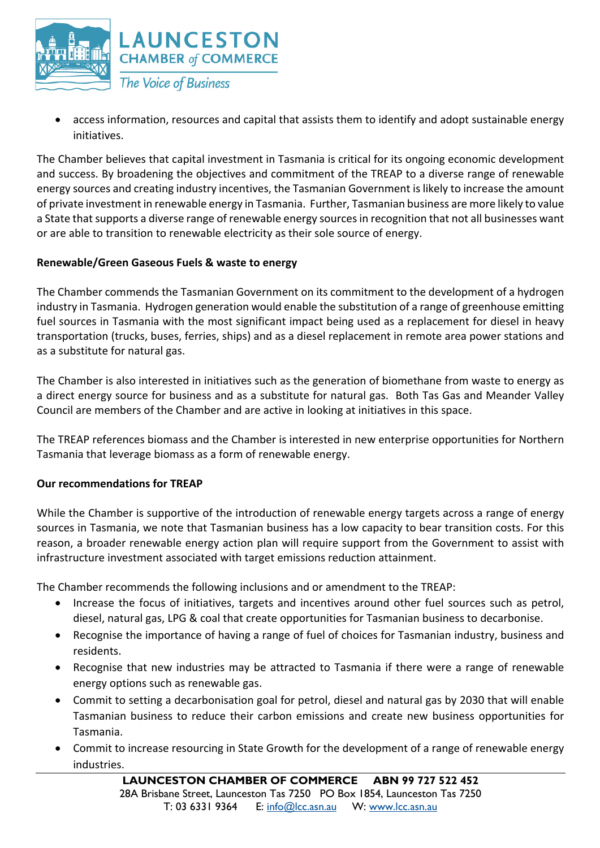

• access information, resources and capital that assists them to identify and adopt sustainable energy initiatives.

The Chamber believes that capital investment in Tasmania is critical for its ongoing economic development and success. By broadening the objectives and commitment of the TREAP to a diverse range of renewable energy sources and creating industry incentives, the Tasmanian Government is likely to increase the amount of private investment in renewable energy in Tasmania. Further, Tasmanian business are more likely to value a State that supports a diverse range of renewable energy sources in recognition that not all businesses want or are able to transition to renewable electricity as their sole source of energy.

## **Renewable/Green Gaseous Fuels & waste to energy**

The Chamber commends the Tasmanian Government on its commitment to the development of a hydrogen industry in Tasmania. Hydrogen generation would enable the substitution of a range of greenhouse emitting fuel sources in Tasmania with the most significant impact being used as a replacement for diesel in heavy transportation (trucks, buses, ferries, ships) and as a diesel replacement in remote area power stations and as a substitute for natural gas.

The Chamber is also interested in initiatives such as the generation of biomethane from waste to energy as a direct energy source for business and as a substitute for natural gas. Both Tas Gas and Meander Valley Council are members of the Chamber and are active in looking at initiatives in this space.

The TREAP references biomass and the Chamber is interested in new enterprise opportunities for Northern Tasmania that leverage biomass as a form of renewable energy.

## **Our recommendations for TREAP**

While the Chamber is supportive of the introduction of renewable energy targets across a range of energy sources in Tasmania, we note that Tasmanian business has a low capacity to bear transition costs. For this reason, a broader renewable energy action plan will require support from the Government to assist with infrastructure investment associated with target emissions reduction attainment.

The Chamber recommends the following inclusions and or amendment to the TREAP:

- Increase the focus of initiatives, targets and incentives around other fuel sources such as petrol. diesel, natural gas, LPG & coal that create opportunities for Tasmanian business to decarbonise.
- Recognise the importance of having a range of fuel of choices for Tasmanian industry, business and residents.
- Recognise that new industries may be attracted to Tasmania if there were a range of renewable energy options such as renewable gas.
- Commit to setting a decarbonisation goal for petrol, diesel and natural gas by 2030 that will enable Tasmanian business to reduce their carbon emissions and create new business opportunities for Tasmania.
- Commit to increase resourcing in State Growth for the development of a range of renewable energy industries.